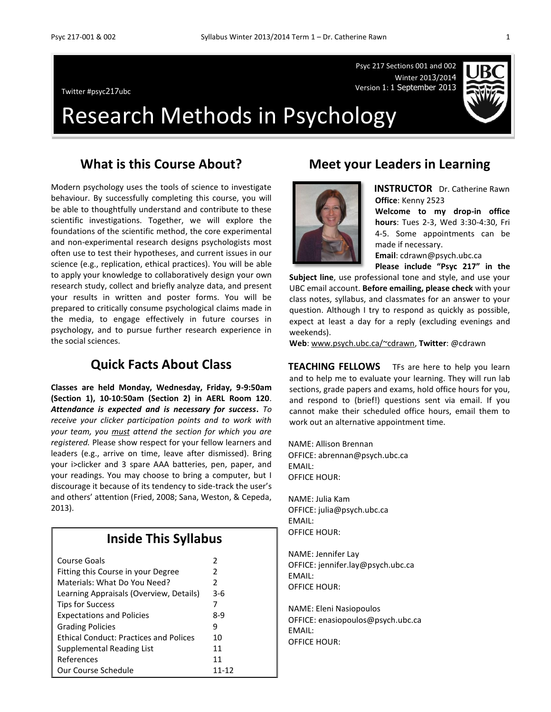Psyc 217 Sections 001 and 002 Winter 2013/2014 Version 1: <sup>1</sup> September 2013 Twitter #psyc217ubc



# Research Methods in Psychology

### **What is this Course About?**

Modern psychology uses the tools of science to investigate behaviour. By successfully completing this course, you will be able to thoughtfully understand and contribute to these scientific investigations. Together, we will explore the foundations of the scientific method, the core experimental and non-experimental research designs psychologists most often use to test their hypotheses, and current issues in our science (e.g., replication, ethical practices). You will be able to apply your knowledge to collaboratively design your own research study, collect and briefly analyze data, and present your results in written and poster forms. You will be prepared to critically consume psychological claims made in the media, to engage effectively in future courses in psychology, and to pursue further research experience in the social sciences.

### **Quick Facts About Class**

**Classes are held Monday, Wednesday, Friday, 9-9:50am (Section 1), 10-10:50am (Section 2) in AERL Room 120**. *Attendance is expected and is necessary for success***.** *To receive your clicker participation points and to work with your team, you must attend the section for which you are registered.* Please show respect for your fellow learners and leaders (e.g., arrive on time, leave after dismissed). Bring your i>clicker and 3 spare AAA batteries, pen, paper, and your readings. You may choose to bring a computer, but I discourage it because of its tendency to side-track the user's and others' attention (Fried, 2008; Sana, Weston, & Cepeda, 2013).

### **Inside This Syllabus**

| Course Goals                                  | 2     |
|-----------------------------------------------|-------|
| Fitting this Course in your Degree            | 2     |
| Materials: What Do You Need?                  | 2     |
| Learning Appraisals (Overview, Details)       | $3-6$ |
| <b>Tips for Success</b>                       | 7     |
| <b>Expectations and Policies</b>              | 8-9   |
| <b>Grading Policies</b>                       | q     |
| <b>Ethical Conduct: Practices and Polices</b> | 10    |
| Supplemental Reading List                     | 11    |
| References                                    | 11    |
| Our Course Schedule                           | 11-12 |

### **Meet your Leaders in Learning**

**INSTRUCTOR** Dr. Catherine Rawn **Office**: Kenny 2523

**Welcome to my drop-in office hours**: Tues 2-3, Wed 3:30-4:30, Fri 4-5. Some appointments can be made if necessary.

**Email**: cdrawn@psych.ubc.ca

**Please include "Psyc 217" in the** 

**Subject line**, use professional tone and style, and use your UBC email account. **Before emailing, please check** with your class notes, syllabus, and classmates for an answer to your question. Although I try to respond as quickly as possible, expect at least a day for a reply (excluding evenings and weekends).

**Web**: [www.psych.ubc.ca/~cdrawn,](http://www.psych.ubc.ca/~cdrawn) **Twitter**: @cdrawn

**TEACHING FELLOWS** TFs are here to help you learn and to help me to evaluate your learning. They will run lab sections, grade papers and exams, hold office hours for you, and respond to (brief!) questions sent via email. If you cannot make their scheduled office hours, email them to work out an alternative appointment time.

NAME: Allison Brennan OFFICE: abrennan@psych.ubc.ca EMAIL: OFFICE HOUR:

NAME: Julia Kam OFFICE: julia@psych.ubc.ca EMAIL: OFFICE HOUR:

NAME: Jennifer Lay OFFICE: jennifer.lay@psych.ubc.ca EMAIL: OFFICE HOUR:

NAME: Eleni Nasiopoulos OFFICE: enasiopoulos@psych.ubc.ca EMAIL: OFFICE HOUR:

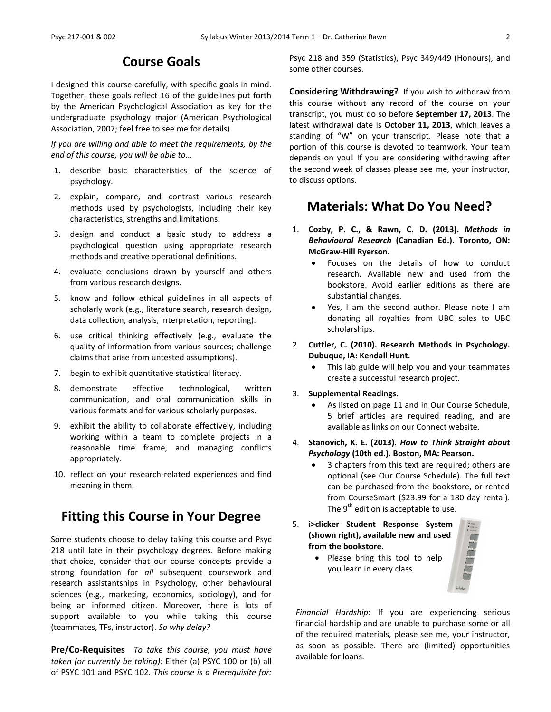### **Course Goals**

I designed this course carefully, with specific goals in mind. Together, these goals reflect 16 of the guidelines put forth by the American Psychological Association as key for the undergraduate psychology major (American Psychological Association, 2007; feel free to see me for details).

*If you are willing and able to meet the requirements, by the end of this course, you will be able to...*

- 1. describe basic characteristics of the science of psychology.
- 2. explain, compare, and contrast various research methods used by psychologists, including their key characteristics, strengths and limitations.
- 3. design and conduct a basic study to address a psychological question using appropriate research methods and creative operational definitions.
- 4. evaluate conclusions drawn by yourself and others from various research designs.
- 5. know and follow ethical guidelines in all aspects of scholarly work (e.g., literature search, research design, data collection, analysis, interpretation, reporting).
- 6. use critical thinking effectively (e.g., evaluate the quality of information from various sources; challenge claims that arise from untested assumptions).
- 7. begin to exhibit quantitative statistical literacy.
- 8. demonstrate effective technological, written communication, and oral communication skills in various formats and for various scholarly purposes.
- 9. exhibit the ability to collaborate effectively, including working within a team to complete projects in a reasonable time frame, and managing conflicts appropriately.
- 10. reflect on your research-related experiences and find meaning in them.

### **Fitting this Course in Your Degree**

Some students choose to delay taking this course and Psyc 218 until late in their psychology degrees. Before making that choice, consider that our course concepts provide a strong foundation for *all* subsequent coursework and research assistantships in Psychology, other behavioural sciences (e.g., marketing, economics, sociology), and for being an informed citizen. Moreover, there is lots of support available to you while taking this course (teammates, TFs, instructor). *So why delay?*

**Pre/Co-Requisites** *To take this course, you must have taken (or currently be taking):* Either (a) PSYC 100 or (b) all of PSYC 101 and PSYC 102. *This course is a Prerequisite for:*  Psyc 218 and 359 (Statistics), Psyc 349/449 (Honours), and some other courses.

**Considering Withdrawing?** If you wish to withdraw from this course without any record of the course on your transcript, you must do so before **September 17, 2013**. The latest withdrawal date is **October 11, 2013**, which leaves a standing of "W" on your transcript. Please note that a portion of this course is devoted to teamwork. Your team depends on you! If you are considering withdrawing after the second week of classes please see me, your instructor, to discuss options.

### **Materials: What Do You Need?**

- 1. **Cozby, P. C., & Rawn, C. D. (2013).** *Methods in Behavioural Research* **(Canadian Ed.). Toronto, ON: McGraw-Hill Ryerson.**
	- Focuses on the details of how to conduct research. Available new and used from the bookstore. Avoid earlier editions as there are substantial changes.
	- Yes, I am the second author. Please note I am donating all royalties from UBC sales to UBC scholarships.
- 2. **Cuttler, C. (2010). Research Methods in Psychology. Dubuque, IA: Kendall Hunt.**
	- This lab guide will help you and your teammates create a successful research project.
- 3. **Supplemental Readings.**
	- As listed on page 11 and in Our Course Schedule, 5 brief articles are required reading, and are available as links on our Connect website.
- 4. **Stanovich, K. E. (2013).** *How to Think Straight about Psychology* **(10th ed.). Boston, MA: Pearson.**
	- 3 chapters from this text are required; others are optional (see Our Course Schedule). The full text can be purchased from the bookstore, or rented from CourseSmart (\$23.99 for a 180 day rental). The  $9<sup>th</sup>$  edition is acceptable to use.
- 5. **i>clicker Student Response System (shown right), available new and used from the bookstore.**



 Please bring this tool to help you learn in every class.

*Financial Hardship*: If you are experiencing serious financial hardship and are unable to purchase some or all of the required materials, please see me, your instructor, as soon as possible. There are (limited) opportunities available for loans.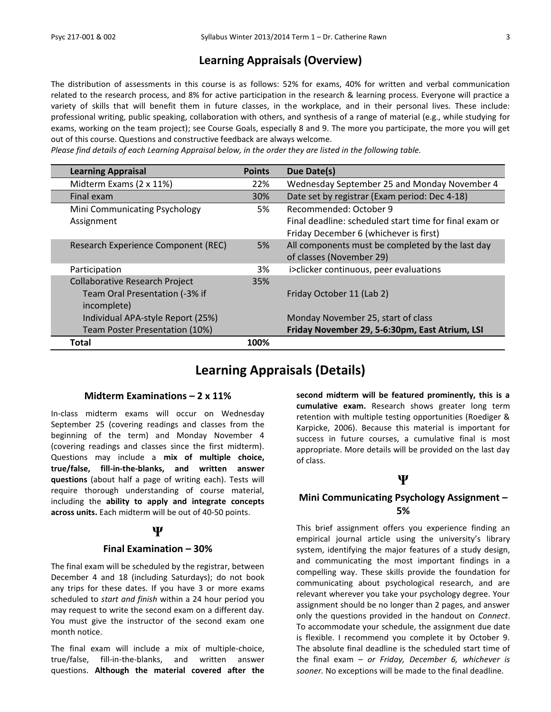### **Learning Appraisals (Overview)**

The distribution of assessments in this course is as follows: 52% for exams, 40% for written and verbal communication related to the research process, and 8% for active participation in the research & learning process. Everyone will practice a variety of skills that will benefit them in future classes, in the workplace, and in their personal lives. These include: professional writing, public speaking, collaboration with others, and synthesis of a range of material (e.g., while studying for exams, working on the team project); see Course Goals, especially 8 and 9. The more you participate, the more you will get out of this course. Questions and constructive feedback are always welcome.

*Please find details of each Learning Appraisal below, in the order they are listed in the following table.*

| <b>Learning Appraisal</b>             | <b>Points</b> | Due Date(s)                                            |
|---------------------------------------|---------------|--------------------------------------------------------|
| Midterm Exams (2 x 11%)               | 22%           | Wednesday September 25 and Monday November 4           |
| Final exam                            | 30%           | Date set by registrar (Exam period: Dec 4-18)          |
| Mini Communicating Psychology         | 5%            | Recommended: October 9                                 |
| Assignment                            |               | Final deadline: scheduled start time for final exam or |
|                                       |               | Friday December 6 (whichever is first)                 |
| Research Experience Component (REC)   | 5%            | All components must be completed by the last day       |
|                                       |               | of classes (November 29)                               |
| Participation                         | 3%            | i>clicker continuous, peer evaluations                 |
| <b>Collaborative Research Project</b> | 35%           |                                                        |
| Team Oral Presentation (-3% if        |               | Friday October 11 (Lab 2)                              |
| incomplete)                           |               |                                                        |
| Individual APA-style Report (25%)     |               | Monday November 25, start of class                     |
| Team Poster Presentation (10%)        |               | Friday November 29, 5-6:30pm, East Atrium, LSI         |
| Total                                 | 100%          |                                                        |

### **Learning Appraisals (Details)**

#### **Midterm Examinations – 2 x 11%**

In-class midterm exams will occur on Wednesday September 25 (covering readings and classes from the beginning of the term) and Monday November 4 (covering readings and classes since the first midterm). Questions may include a **mix of multiple choice, true/false, fill-in-the-blanks, and written answer questions** (about half a page of writing each). Tests will require thorough understanding of course material, including the **ability to apply and integrate concepts across units.** Each midterm will be out of 40-50 points.

#### **Ψ**

#### **Final Examination – 30%**

The final exam will be scheduled by the registrar, between December 4 and 18 (including Saturdays); do not book any trips for these dates. If you have 3 or more exams scheduled to *start and finish* within a 24 hour period you may request to write the second exam on a different day. You must give the instructor of the second exam one month notice.

The final exam will include a mix of multiple-choice, true/false, fill-in-the-blanks, and written answer questions. **Although the material covered after the**  **second midterm will be featured prominently, this is a cumulative exam.** Research shows greater long term retention with multiple testing opportunities (Roediger & Karpicke, 2006). Because this material is important for success in future courses, a cumulative final is most appropriate. More details will be provided on the last day of class.

### **Ψ**

### **Mini Communicating Psychology Assignment – 5%**

This brief assignment offers you experience finding an empirical journal article using the university's library system, identifying the major features of a study design, and communicating the most important findings in a compelling way. These skills provide the foundation for communicating about psychological research, and are relevant wherever you take your psychology degree. Your assignment should be no longer than 2 pages, and answer only the questions provided in the handout on *Connect*. To accommodate your schedule, the assignment due date is flexible. I recommend you complete it by October 9. The absolute final deadline is the scheduled start time of the final exam – *or Friday, December 6, whichever is sooner.* No exceptions will be made to the final deadline.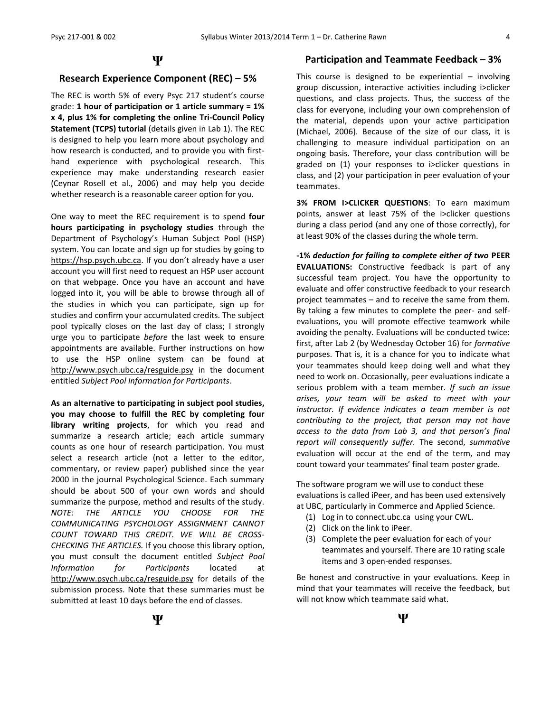#### **Ψ**

#### **Research Experience Component (REC) – 5%**

The REC is worth 5% of every Psyc 217 student's course grade: **1 hour of participation or 1 article summary = 1% x 4, plus 1% for completing the online Tri-Council Policy Statement (TCPS) tutorial** (details given in Lab 1). The REC is designed to help you learn more about psychology and how research is conducted, and to provide you with firsthand experience with psychological research. This experience may make understanding research easier (Ceynar Rosell et al., 2006) and may help you decide whether research is a reasonable career option for you.

One way to meet the REC requirement is to spend **four hours participating in psychology studies** through the Department of Psychology's Human Subject Pool (HSP) system. You can locate and sign up for studies by going to [https://hsp.psych.ubc.ca](https://hsp.psych.ubc.ca/). If you don't already have a user account you will first need to request an HSP user account on that webpage. Once you have an account and have logged into it, you will be able to browse through all of the studies in which you can participate, sign up for studies and confirm your accumulated credits. The subject pool typically closes on the last day of class; I strongly urge you to participate *before* the last week to ensure appointments are available. Further instructions on how to use the HSP online system can be found at <http://www.psych.ubc.ca/resguide.psy> in the document entitled *Subject Pool Information for Participants*.

**As an alternative to participating in subject pool studies, you may choose to fulfill the REC by completing four library writing projects**, for which you read and summarize a research article; each article summary counts as one hour of research participation. You must select a research article (not a letter to the editor, commentary, or review paper) published since the year 2000 in the journal Psychological Science. Each summary should be about 500 of your own words and should summarize the purpose, method and results of the study. *NOTE: THE ARTICLE YOU CHOOSE FOR THE COMMUNICATING PSYCHOLOGY ASSIGNMENT CANNOT COUNT TOWARD THIS CREDIT. WE WILL BE CROSS-CHECKING THE ARTICLES.* If you choose this library option, you must consult the document entitled *Subject Pool Information for Participants* located at <http://www.psych.ubc.ca/resguide.psy> for details of the submission process. Note that these summaries must be submitted at least 10 days before the end of classes.

#### **Participation and Teammate Feedback – 3%**

This course is designed to be experiential  $-$  involving group discussion, interactive activities including i>clicker questions, and class projects. Thus, the success of the class for everyone, including your own comprehension of the material, depends upon your active participation (Michael, 2006). Because of the size of our class, it is challenging to measure individual participation on an ongoing basis. Therefore, your class contribution will be graded on (1) your responses to i>clicker questions in class, and (2) your participation in peer evaluation of your teammates.

**3% FROM I>CLICKER QUESTIONS**: To earn maximum points, answer at least 75% of the i>clicker questions during a class period (and any one of those correctly), for at least 90% of the classes during the whole term.

**-1%** *deduction for failing to complete either of two* **PEER EVALUATIONS:** Constructive feedback is part of any successful team project. You have the opportunity to evaluate and offer constructive feedback to your research project teammates – and to receive the same from them. By taking a few minutes to complete the peer- and selfevaluations, you will promote effective teamwork while avoiding the penalty. Evaluations will be conducted twice: first, after Lab 2 (by Wednesday October 16) for *formative* purposes. That is, it is a chance for you to indicate what your teammates should keep doing well and what they need to work on. Occasionally, peer evaluations indicate a serious problem with a team member. *If such an issue arises, your team will be asked to meet with your instructor. If evidence indicates a team member is not contributing to the project, that person may not have access to the data from Lab 3, and that person's final report will consequently suffer.* The second, *summative* evaluation will occur at the end of the term, and may count toward your teammates' final team poster grade.

The software program we will use to conduct these evaluations is called iPeer, and has been used extensively at UBC, particularly in Commerce and Applied Science.

- (1) Log in to connect.ubc.ca using your CWL.
- (2) Click on the link to iPeer.
- (3) Complete the peer evaluation for each of your teammates and yourself. There are 10 rating scale items and 3 open-ended responses.

Be honest and constructive in your evaluations. Keep in mind that your teammates will receive the feedback, but will not know which teammate said what.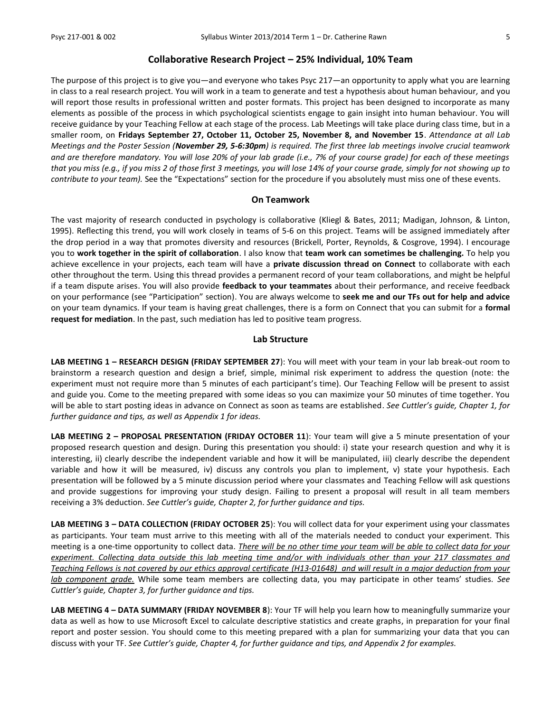#### **Collaborative Research Project – 25% Individual, 10% Team**

The purpose of this project is to give you—and everyone who takes Psyc 217—an opportunity to apply what you are learning in class to a real research project. You will work in a team to generate and test a hypothesis about human behaviour*,* and you will report those results in professional written and poster formats. This project has been designed to incorporate as many elements as possible of the process in which psychological scientists engage to gain insight into human behaviour. You will receive guidance by your Teaching Fellow at each stage of the process. Lab Meetings will take place during class time, but in a smaller room, on **Fridays September 27, October 11, October 25, November 8, and November 15**. *Attendance at all Lab Meetings and the Poster Session (November 29, 5-6:30pm) is required. The first three lab meetings involve crucial teamwork and are therefore mandatory. You will lose 20% of your lab grade (i.e., 7% of your course grade) for each of these meetings that you miss (e.g., if you miss 2 of those first 3 meetings, you will lose 14% of your course grade, simply for not showing up to contribute to your team).* See the "Expectations" section for the procedure if you absolutely must miss one of these events.

#### **On Teamwork**

The vast majority of research conducted in psychology is collaborative (Kliegl & Bates, 2011; Madigan, Johnson, & Linton, 1995). Reflecting this trend, you will work closely in teams of 5-6 on this project. Teams will be assigned immediately after the drop period in a way that promotes diversity and resources (Brickell, Porter, Reynolds, & Cosgrove, 1994). I encourage you to **work together in the spirit of collaboration**. I also know that **team work can sometimes be challenging.** To help you achieve excellence in your projects, each team will have a **private discussion thread on Connect** to collaborate with each other throughout the term. Using this thread provides a permanent record of your team collaborations, and might be helpful if a team dispute arises. You will also provide **feedback to your teammates** about their performance, and receive feedback on your performance (see "Participation" section). You are always welcome to **seek me and our TFs out for help and advice** on your team dynamics. If your team is having great challenges, there is a form on Connect that you can submit for a **formal request for mediation**. In the past, such mediation has led to positive team progress.

#### **Lab Structure**

**LAB MEETING 1 – RESEARCH DESIGN (FRIDAY SEPTEMBER 27**): You will meet with your team in your lab break-out room to brainstorm a research question and design a brief, simple, minimal risk experiment to address the question (note: the experiment must not require more than 5 minutes of each participant's time). Our Teaching Fellow will be present to assist and guide you. Come to the meeting prepared with some ideas so you can maximize your 50 minutes of time together. You will be able to start posting ideas in advance on Connect as soon as teams are established. *See Cuttler's guide, Chapter 1, for further guidance and tips, as well as Appendix 1 for ideas.*

LAB MEETING 2 - PROPOSAL PRESENTATION (FRIDAY OCTOBER 11): Your team will give a 5 minute presentation of your proposed research question and design. During this presentation you should: i) state your research question and why it is interesting, ii) clearly describe the independent variable and how it will be manipulated, iii) clearly describe the dependent variable and how it will be measured, iv) discuss any controls you plan to implement, v) state your hypothesis. Each presentation will be followed by a 5 minute discussion period where your classmates and Teaching Fellow will ask questions and provide suggestions for improving your study design. Failing to present a proposal will result in all team members receiving a 3% deduction. *See Cuttler's guide, Chapter 2, for further guidance and tips.*

**LAB MEETING 3 – DATA COLLECTION (FRIDAY OCTOBER 25**): You will collect data for your experiment using your classmates as participants. Your team must arrive to this meeting with all of the materials needed to conduct your experiment. This meeting is a one-time opportunity to collect data. *There will be no other time your team will be able to collect data for your experiment. Collecting data outside this lab meeting time and/or with individuals other than your 217 classmates and Teaching Fellows is not covered by our ethics approval certificate (H13-01648) and will result in a major deduction from your lab component grade.* While some team members are collecting data, you may participate in other teams' studies. *See Cuttler's guide, Chapter 3, for further guidance and tips.*

**LAB MEETING 4 – DATA SUMMARY (FRIDAY NOVEMBER 8**): Your TF will help you learn how to meaningfully summarize your data as well as how to use Microsoft Excel to calculate descriptive statistics and create graphs, in preparation for your final report and poster session. You should come to this meeting prepared with a plan for summarizing your data that you can discuss with your TF. *See Cuttler's guide, Chapter 4, for further guidance and tips, and Appendix 2 for examples.*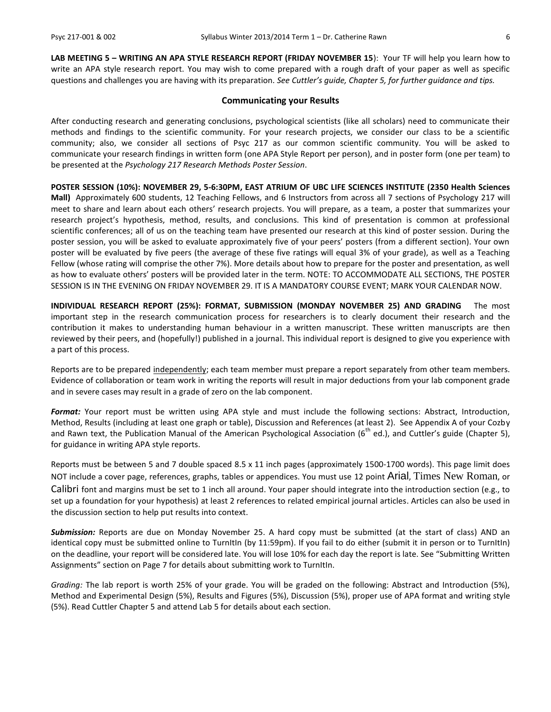**LAB MEETING 5 – WRITING AN APA STYLE RESEARCH REPORT (FRIDAY NOVEMBER 15**): Your TF will help you learn how to write an APA style research report. You may wish to come prepared with a rough draft of your paper as well as specific questions and challenges you are having with its preparation. *See Cuttler's guide, Chapter 5, for further guidance and tips.*

#### **Communicating your Results**

After conducting research and generating conclusions, psychological scientists (like all scholars) need to communicate their methods and findings to the scientific community. For your research projects, we consider our class to be a scientific community; also, we consider all sections of Psyc 217 as our common scientific community. You will be asked to communicate your research findings in written form (one APA Style Report per person), and in poster form (one per team) to be presented at the *Psychology 217 Research Methods Poster Session*.

**POSTER SESSION (10%): NOVEMBER 29, 5-6:30PM, EAST ATRIUM OF UBC LIFE SCIENCES INSTITUTE (2350 Health Sciences Mall)** Approximately 600 students, 12 Teaching Fellows, and 6 Instructors from across all 7 sections of Psychology 217 will meet to share and learn about each others' research projects. You will prepare, as a team, a poster that summarizes your research project's hypothesis, method, results, and conclusions. This kind of presentation is common at professional scientific conferences; all of us on the teaching team have presented our research at this kind of poster session. During the poster session, you will be asked to evaluate approximately five of your peers' posters (from a different section). Your own poster will be evaluated by five peers (the average of these five ratings will equal 3% of your grade), as well as a Teaching Fellow (whose rating will comprise the other 7%). More details about how to prepare for the poster and presentation, as well as how to evaluate others' posters will be provided later in the term. NOTE: TO ACCOMMODATE ALL SECTIONS, THE POSTER SESSION IS IN THE EVENING ON FRIDAY NOVEMBER 29. IT IS A MANDATORY COURSE EVENT; MARK YOUR CALENDAR NOW.

**INDIVIDUAL RESEARCH REPORT (25%): FORMAT, SUBMISSION (MONDAY NOVEMBER 25) AND GRADING** The most important step in the research communication process for researchers is to clearly document their research and the contribution it makes to understanding human behaviour in a written manuscript. These written manuscripts are then reviewed by their peers, and (hopefully!) published in a journal. This individual report is designed to give you experience with a part of this process.

Reports are to be prepared independently; each team member must prepare a report separately from other team members. Evidence of collaboration or team work in writing the reports will result in major deductions from your lab component grade and in severe cases may result in a grade of zero on the lab component.

*Format:* Your report must be written using APA style and must include the following sections: Abstract, Introduction, Method, Results (including at least one graph or table), Discussion and References (at least 2). See Appendix A of your Cozby and Rawn text, the Publication Manual of the American Psychological Association ( $6<sup>th</sup>$  ed.), and Cuttler's guide (Chapter 5), for guidance in writing APA style reports.

Reports must be between 5 and 7 double spaced 8.5 x 11 inch pages (approximately 1500-1700 words). This page limit does NOT include a cover page, references, graphs, tables or appendices. You must use 12 point Arial, Times New Roman, or Calibri font and margins must be set to 1 inch all around. Your paper should integrate into the introduction section (e.g., to set up a foundation for your hypothesis) at least 2 references to related empirical journal articles. Articles can also be used in the discussion section to help put results into context.

*Submission:* Reports are due on Monday November 25. A hard copy must be submitted (at the start of class) AND an identical copy must be submitted online to TurnItIn (by 11:59pm). If you fail to do either (submit it in person or to TurnItIn) on the deadline, your report will be considered late. You will lose 10% for each day the report is late. See "Submitting Written Assignments" section on Page 7 for details about submitting work to TurnItIn.

*Grading:* The lab report is worth 25% of your grade. You will be graded on the following: Abstract and Introduction (5%), Method and Experimental Design (5%), Results and Figures (5%), Discussion (5%), proper use of APA format and writing style (5%). Read Cuttler Chapter 5 and attend Lab 5 for details about each section.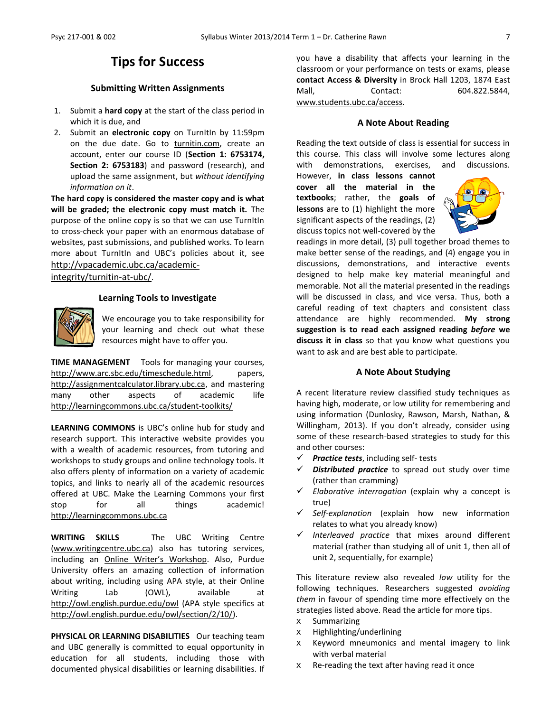### **Tips for Success**

#### **Submitting Written Assignments**

- 1. Submit a **hard copy** at the start of the class period in which it is due, and
- 2. Submit an **electronic copy** on TurnItIn by 11:59pm on the due date. Go to [turnitin.com,](http://turnitin.com/) create an account, enter our course ID (**Section 1: 6753174, Section 2: 6753183**) and password (research), and upload the same assignment, but *without identifying information on it*.

**The hard copy is considered the master copy and is what will be graded; the electronic copy must match it.** The purpose of the online copy is so that we can use TurnItIn to cross-check your paper with an enormous database of websites, past submissions, and published works. To learn more about TurnItIn and UBC's policies about it, see [http://vpacademic.ubc.ca/academic-](http://vpacademic.ubc.ca/academic-integrity/turnitin-at-ubc/)

[integrity/turnitin-at-ubc/](http://vpacademic.ubc.ca/academic-integrity/turnitin-at-ubc/).

#### **Learning Tools to Investigate**



We encourage you to take responsibility for your learning and check out what these resources might have to offer you.

**TIME MANAGEMENT** Tools for managing your courses, [http://www.arc.sbc.edu/timeschedule.html,](http://www.arc.sbc.edu/timeschedule.html) papers, [http://assignmentcalculator.library.ubc.ca,](http://assignmentcalculator.library.ubc.ca/) and mastering many other aspects of academic life <http://learningcommons.ubc.ca/student-toolkits/>

**LEARNING COMMONS** is UBC's online hub for study and research support. This interactive website provides you with a wealth of academic resources, from tutoring and workshops to study groups and online technology tools. It also offers plenty of information on a variety of academic topics, and links to nearly all of the academic resources offered at UBC. Make the Learning Commons your first stop for all things academic! [http://learningcommons.ubc.ca](http://learningcommons.ubc.ca/)

**WRITING SKILLS** The UBC Writing Centre [\(www.writingcentre.ubc.ca\)](http://www.writingcentre.ubc.ca/) also has tutoring services, including an [Online Writer's Workshop](http://www.writingcentre.ubc.ca/workshop/index.html). Also, Purdue University offers an amazing collection of information about writing, including using APA style, at their Online Writing Lab (OWL), available at [http://owl.english.purdue.edu/owl](http://owl.english.purdue.edu/owl/) (APA style specifics at [http://owl.english.purdue.edu/owl/section/2/10/\)](http://owl.english.purdue.edu/owl/section/2/10/).

PHYSICAL OR LEARNING DISABILITIES Our teaching team and UBC generally is committed to equal opportunity in education for all students, including those with documented physical disabilities or learning disabilities. If

you have a disability that affects your learning in the classroom or your performance on tests or exams, please **contact Access & Diversity** in Brock Hall 1203, 1874 East Mall, Contact: 604.822.5844, [www.students.ubc.ca/access.](http://www.students.ubc.ca/access)

#### **A Note About Reading**

Reading the text outside of class is essential for success in this course. This class will involve some lectures along with demonstrations, exercises, and discussions.

However, **in class lessons cannot cover all the material in the textbooks**; rather, the **goals of lessons** are to (1) highlight the more significant aspects of the readings, (2) discuss topics not well-covered by the



readings in more detail, (3) pull together broad themes to make better sense of the readings, and (4) engage you in discussions, demonstrations, and interactive events designed to help make key material meaningful and memorable. Not all the material presented in the readings will be discussed in class, and vice versa. Thus, both a careful reading of text chapters and consistent class attendance are highly recommended. **My strong suggestion is to read each assigned reading** *before* **we discuss it in class** so that you know what questions you want to ask and are best able to participate.

#### **A Note About Studying**

A recent literature review classified study techniques as having high, moderate, or low utility for remembering and using information (Dunlosky, Rawson, Marsh, Nathan, & Willingham, 2013). If you don't already, consider using some of these research-based strategies to study for this and other courses:

- *Practice tests*, including self- tests
- *Distributed practice* to spread out study over time (rather than cramming)
- *Elaborative interrogation* (explain why a concept is true)
- *Self-explanation* (explain how new information relates to what you already know)
- *Interleaved practice* that mixes around different material (rather than studying all of unit 1, then all of unit 2, sequentially, for example)

This literature review also revealed *low* utility for the following techniques. Researchers suggested *avoiding them* in favour of spending time more effectively on the strategies listed above. Read the article for more tips.

- x Summarizing
- x Highlighting/underlining
- x Keyword mneumonics and mental imagery to link with verbal material
- x Re-reading the text after having read it once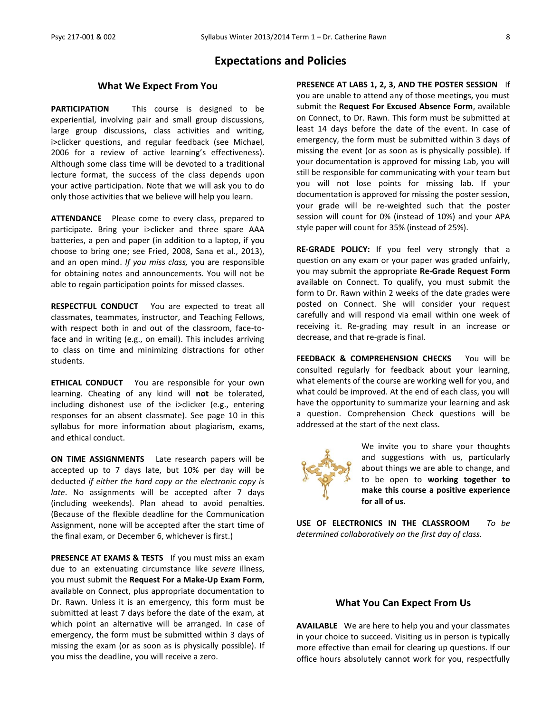#### **Expectations and Policies**

#### **What We Expect From You**

**PARTICIPATION** This course is designed to be experiential, involving pair and small group discussions, large group discussions, class activities and writing, i>clicker questions, and regular feedback (see Michael, 2006 for a review of active learning's effectiveness). Although some class time will be devoted to a traditional lecture format, the success of the class depends upon your active participation. Note that we will ask you to do only those activities that we believe will help you learn.

**ATTENDANCE** Please come to every class, prepared to participate. Bring your i>clicker and three spare AAA batteries, a pen and paper (in addition to a laptop, if you choose to bring one; see Fried, 2008, Sana et al., 2013), and an open mind. *If you miss class,* you are responsible for obtaining notes and announcements. You will not be able to regain participation points for missed classes.

**RESPECTFUL CONDUCT** You are expected to treat all classmates, teammates, instructor, and Teaching Fellows, with respect both in and out of the classroom, face-toface and in writing (e.g., on email). This includes arriving to class on time and minimizing distractions for other students.

**ETHICAL CONDUCT** You are responsible for your own learning. Cheating of any kind will **not** be tolerated, including dishonest use of the i>clicker (e.g., entering responses for an absent classmate). See page 10 in this syllabus for more information about plagiarism, exams, and ethical conduct.

**ON TIME ASSIGNMENTS** Late research papers will be accepted up to 7 days late, but 10% per day will be deducted *if either the hard copy or the electronic copy is late*. No assignments will be accepted after 7 days (including weekends). Plan ahead to avoid penalties. (Because of the flexible deadline for the Communication Assignment, none will be accepted after the start time of the final exam, or December 6, whichever is first.)

**PRESENCE AT EXAMS & TESTS** If you must miss an exam due to an extenuating circumstance like *severe* illness, you must submit the **Request For a Make-Up Exam Form**, available on Connect, plus appropriate documentation to Dr. Rawn. Unless it is an emergency, this form must be submitted at least 7 days before the date of the exam, at which point an alternative will be arranged. In case of emergency, the form must be submitted within 3 days of missing the exam (or as soon as is physically possible). If you miss the deadline, you will receive a zero.

**PRESENCE AT LABS 1, 2, 3, AND THE POSTER SESSION** If you are unable to attend any of those meetings, you must submit the **Request For Excused Absence Form**, available on Connect, to Dr. Rawn. This form must be submitted at least 14 days before the date of the event. In case of emergency, the form must be submitted within 3 days of missing the event (or as soon as is physically possible). If your documentation is approved for missing Lab, you will still be responsible for communicating with your team but you will not lose points for missing lab. If your documentation is approved for missing the poster session, your grade will be re-weighted such that the poster session will count for 0% (instead of 10%) and your APA style paper will count for 35% (instead of 25%).

**RE-GRADE POLICY:** If you feel very strongly that a question on any exam or your paper was graded unfairly, you may submit the appropriate **Re-Grade Request Form** available on Connect. To qualify, you must submit the form to Dr. Rawn within 2 weeks of the date grades were posted on Connect. She will consider your request carefully and will respond via email within one week of receiving it. Re-grading may result in an increase or decrease, and that re-grade is final.

**FEEDBACK & COMPREHENSION CHECKS** You will be consulted regularly for feedback about your learning, what elements of the course are working well for you, and what could be improved. At the end of each class, you will have the opportunity to summarize your learning and ask a question. Comprehension Check questions will be addressed at the start of the next class.



We invite you to share your thoughts and suggestions with us, particularly about things we are able to change, and to be open to **working together to make this course a positive experience for all of us.**

**USE OF ELECTRONICS IN THE CLASSROOM** *To be determined collaboratively on the first day of class.*

#### **What You Can Expect From Us**

**AVAILABLE** We are here to help you and your classmates in your choice to succeed. Visiting us in person is typically more effective than email for clearing up questions. If our office hours absolutely cannot work for you, respectfully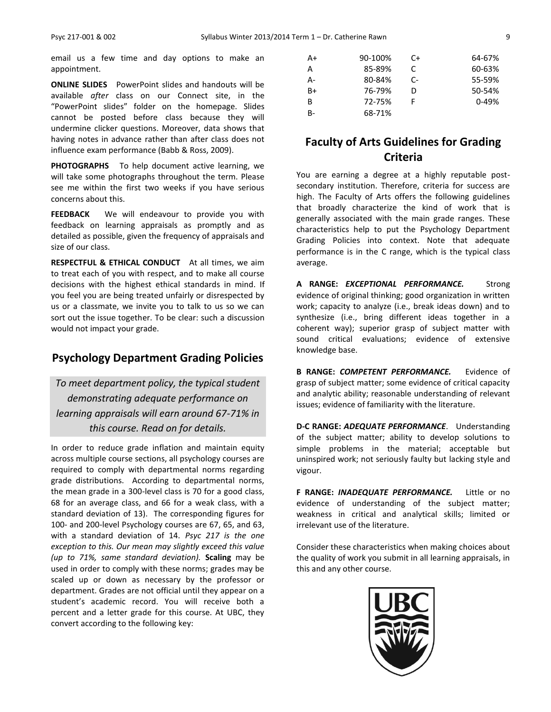email us a few time and day options to make an appointment.

**ONLINE SLIDES** PowerPoint slides and handouts will be available *after* class on our Connect site, in the "PowerPoint slides" folder on the homepage. Slides cannot be posted before class because they will undermine clicker questions. Moreover, data shows that having notes in advance rather than after class does not influence exam performance (Babb & Ross, 2009).

**PHOTOGRAPHS** To help document active learning, we will take some photographs throughout the term. Please see me within the first two weeks if you have serious concerns about this.

**FEEDBACK** We will endeavour to provide you with feedback on learning appraisals as promptly and as detailed as possible, given the frequency of appraisals and size of our class.

**RESPECTFUL & ETHICAL CONDUCT** At all times, we aim to treat each of you with respect, and to make all course decisions with the highest ethical standards in mind. If you feel you are being treated unfairly or disrespected by us or a classmate, we invite you to talk to us so we can sort out the issue together. To be clear: such a discussion would not impact your grade.

### **Psychology Department Grading Policies**

*To meet department policy, the typical student demonstrating adequate performance on learning appraisals will earn around 67-71% in this course. Read on for details.*

In order to reduce grade inflation and maintain equity across multiple course sections, all psychology courses are required to comply with departmental norms regarding grade distributions. According to departmental norms, the mean grade in a 300-level class is 70 for a good class, 68 for an average class, and 66 for a weak class, with a standard deviation of 13). The corresponding figures for 100- and 200-level Psychology courses are 67, 65, and 63, with a standard deviation of 14. *Psyc 217 is the one exception to this. Our mean may slightly exceed this value (up to 71%, same standard deviation).* **Scaling** may be used in order to comply with these norms; grades may be scaled up or down as necessary by the professor or department. Grades are not official until they appear on a student's academic record. You will receive both a percent and a letter grade for this course. At UBC, they convert according to the following key:

| $A+$  | 90-100% | C+   | 64-67%    |
|-------|---------|------|-----------|
| A     | 85-89%  | C    | 60-63%    |
| $A -$ | 80-84%  | $C-$ | 55-59%    |
| B+    | 76-79%  | D    | 50-54%    |
| B     | 72-75%  |      | $0 - 49%$ |
| $B-$  | 68-71%  |      |           |

### **Faculty of Arts Guidelines for Grading Criteria**

You are earning a degree at a highly reputable postsecondary institution. Therefore, criteria for success are high. The Faculty of Arts offers the following guidelines that broadly characterize the kind of work that is generally associated with the main grade ranges. These characteristics help to put the Psychology Department Grading Policies into context. Note that adequate performance is in the C range, which is the typical class average.

**A RANGE:** *EXCEPTIONAL PERFORMANCE.* Strong evidence of original thinking; good organization in written work; capacity to analyze (i.e., break ideas down) and to synthesize (i.e., bring different ideas together in a coherent way); superior grasp of subject matter with sound critical evaluations; evidence of extensive knowledge base.

**B RANGE:** *COMPETENT PERFORMANCE.* Evidence of grasp of subject matter; some evidence of critical capacity and analytic ability; reasonable understanding of relevant issues; evidence of familiarity with the literature.

**D-C RANGE:** *ADEQUATE PERFORMANCE*. Understanding of the subject matter; ability to develop solutions to simple problems in the material; acceptable but uninspired work; not seriously faulty but lacking style and vigour.

**F RANGE:** *INADEQUATE PERFORMANCE.* Little or no evidence of understanding of the subject matter; weakness in critical and analytical skills; limited or irrelevant use of the literature.

Consider these characteristics when making choices about the quality of work you submit in all learning appraisals, in this and any other course.

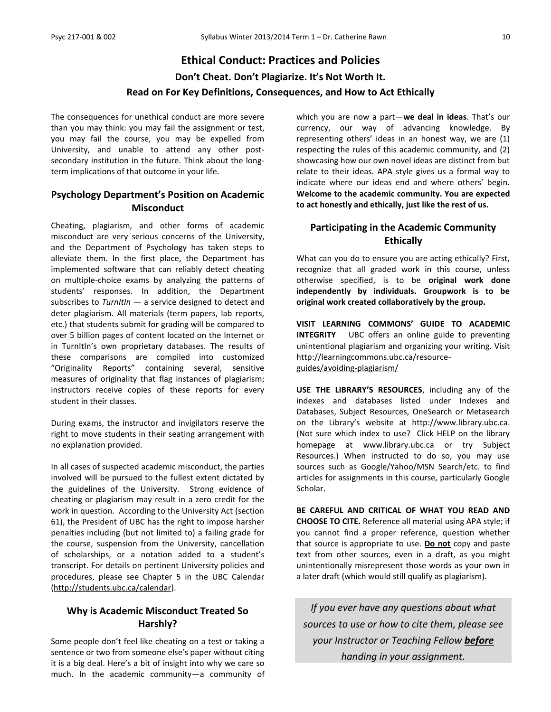## **Ethical Conduct: Practices and Policies Don't Cheat. Don't Plagiarize. It's Not Worth It. Read on For Key Definitions, Consequences, and How to Act Ethically**

The consequences for unethical conduct are more severe than you may think: you may fail the assignment or test, you may fail the course, you may be expelled from University, and unable to attend any other postsecondary institution in the future. Think about the longterm implications of that outcome in your life.

### **Psychology Department's Position on Academic Misconduct**

Cheating, plagiarism, and other forms of academic misconduct are very serious concerns of the University, and the Department of Psychology has taken steps to alleviate them. In the first place, the Department has implemented software that can reliably detect cheating on multiple-choice exams by analyzing the patterns of students' responses. In addition, the Department subscribes to *TurnItIn* — a service designed to detect and deter plagiarism. All materials (term papers, lab reports, etc.) that students submit for grading will be compared to over 5 billion pages of content located on the Internet or in TurnItIn's own proprietary databases. The results of these comparisons are compiled into customized "Originality Reports" containing several, sensitive measures of originality that flag instances of plagiarism; instructors receive copies of these reports for every student in their classes.

During exams, the instructor and invigilators reserve the right to move students in their seating arrangement with no explanation provided.

In all cases of suspected academic misconduct, the parties involved will be pursued to the fullest extent dictated by the guidelines of the University. Strong evidence of cheating or plagiarism may result in a zero credit for the work in question. According to the University Act (section 61), the President of UBC has the right to impose harsher penalties including (but not limited to) a failing grade for the course, suspension from the University, cancellation of scholarships, or a notation added to a student's transcript. For details on pertinent University policies and procedures, please see Chapter 5 in the UBC Calendar [\(http://students.ubc.ca/calendar\)](http://students.ubc.ca/calendar).

#### **Why is Academic Misconduct Treated So Harshly?**

Some people don't feel like cheating on a test or taking a sentence or two from someone else's paper without citing it is a big deal. Here's a bit of insight into why we care so much. In the academic community—a community of which you are now a part—**we deal in ideas**. That's our currency, our way of advancing knowledge. By representing others' ideas in an honest way, we are (1) respecting the rules of this academic community, and (2) showcasing how our own novel ideas are distinct from but relate to their ideas. APA style gives us a formal way to indicate where our ideas end and where others' begin. **Welcome to the academic community. You are expected to act honestly and ethically, just like the rest of us.**

### **Participating in the Academic Community Ethically**

What can you do to ensure you are acting ethically? First, recognize that all graded work in this course, unless otherwise specified, is to be **original work done independently by individuals. Groupwork is to be original work created collaboratively by the group.**

**VISIT LEARNING COMMONS' GUIDE TO ACADEMIC INTEGRITY** UBC offers an online guide to preventing unintentional plagiarism and organizing your writing. Visit [http://learningcommons.ubc.ca/resource](http://learningcommons.ubc.ca/resource-guides/avoiding-plagiarism/)[guides/avoiding-plagiarism/](http://learningcommons.ubc.ca/resource-guides/avoiding-plagiarism/)

**USE THE LIBRARY'S RESOURCES**, including any of the indexes and databases listed under Indexes and Databases, Subject Resources, OneSearch or Metasearch on the Library's website at [http://www.library.ubc.ca.](http://www.library.ubc.ca/) (Not sure which index to use? Click HELP on the library homepage at www.library.ubc.ca or try Subject Resources.) When instructed to do so, you may use sources such as Google/Yahoo/MSN Search/etc. to find articles for assignments in this course, particularly Google Scholar.

**BE CAREFUL AND CRITICAL OF WHAT YOU READ AND CHOOSE TO CITE.** Reference all material using APA style; if you cannot find a proper reference, question whether that source is appropriate to use. **Do not** copy and paste text from other sources, even in a draft, as you might unintentionally misrepresent those words as your own in a later draft (which would still qualify as plagiarism).

*If you ever have any questions about what sources to use or how to cite them, please see your Instructor or Teaching Fellow before handing in your assignment.*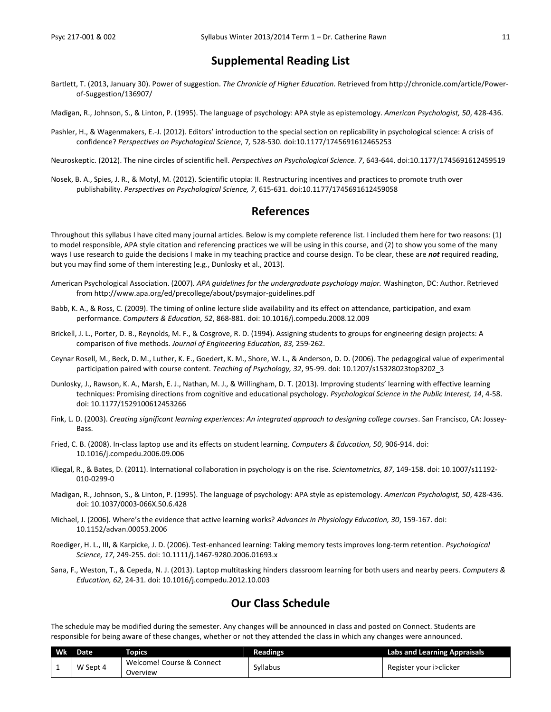### **Supplemental Reading List**

Bartlett, T. (2013, January 30). Power of suggestion. *The Chronicle of Higher Education.* Retrieved from http://chronicle.com/article/Powerof-Suggestion/136907/

Madigan, R., Johnson, S., & Linton, P. (1995). The language of psychology: APA style as epistemology. *American Psychologist, 50*, 428-436.

Pashler, H., & Wagenmakers, E.-J. (2012). Editors' introduction to the special section on replicability in psychological science: A crisis of confidence? *Perspectives on Psychological Science*, 7*,* 528-530. doi:10.1177/1745691612465253

Neuroskeptic. (2012). The nine circles of scientific hell. *Perspectives on Psychological Science. 7*, 643-644. doi:10.1177/1745691612459519

Nosek, B. A., Spies, J. R., & Motyl, M. (2012). Scientific utopia: II. Restructuring incentives and practices to promote truth over publishability. *Perspectives on Psychological Science, 7*, 615-631. doi:10.1177/1745691612459058

### **References**

Throughout this syllabus I have cited many journal articles. Below is my complete reference list. I included them here for two reasons: (1) to model responsible, APA style citation and referencing practices we will be using in this course, and (2) to show you some of the many ways I use research to guide the decisions I make in my teaching practice and course design. To be clear, these are *not* required reading, but you may find some of them interesting (e.g., Dunlosky et al., 2013).

- American Psychological Association. (2007). *APA guidelines for the undergraduate psychology major.* Washington, DC: Author. Retrieved from http://www.apa.org/ed/precollege/about/psymajor-guidelines.pdf
- Babb, K. A., & Ross, C. (2009). The timing of online lecture slide availability and its effect on attendance, participation, and exam performance. *Computers & Education, 52*, 868-881. doi: 10.1016/j.compedu.2008.12.009
- Brickell, J. L., Porter, D. B., Reynolds, M. F., & Cosgrove, R. D. (1994). Assigning students to groups for engineering design projects: A comparison of five methods. *Journal of Engineering Education, 83,* 259-262.
- Ceynar Rosell, M., Beck, D. M., Luther, K. E., Goedert, K. M., Shore, W. L., & Anderson, D. D. (2006). The pedagogical value of experimental participation paired with course content. *Teaching of Psychology, 32*, 95-99. doi: 10.1207/s15328023top3202\_3
- Dunlosky, J., Rawson, K. A., Marsh, E. J., Nathan, M. J., & Willingham, D. T. (2013). Improving students' learning with effective learning techniques: Promising directions from cognitive and educational psychology. *Psychological Science in the Public Interest, 14*, 4-58. doi: 10.1177/1529100612453266
- Fink, L. D. (2003). *Creating significant learning experiences: An integrated approach to designing college courses*. San Francisco, CA: Jossey-Bass.
- Fried, C. B. (2008). In-class laptop use and its effects on student learning. *Computers & Education, 50*, 906-914. doi: 10.1016/j.compedu.2006.09.006
- Kliegal, R., & Bates, D. (2011). International collaboration in psychology is on the rise. *Scientometrics, 87*, 149-158. doi: 10.1007/s11192- 010-0299-0
- Madigan, R., Johnson, S., & Linton, P. (1995). The language of psychology: APA style as epistemology. *American Psychologist, 50*, 428-436. doi: 10.1037/0003-066X.50.6.428
- Michael, J. (2006). Where's the evidence that active learning works? *Advances in Physiology Education, 30*, 159-167. doi: 10.1152/advan.00053.2006
- Roediger, H. L., III, & Karpicke, J. D. (2006). Test-enhanced learning: Taking memory tests improves long-term retention. *Psychological Science, 17*, 249-255. doi: 10.1111/j.1467-9280.2006.01693.x
- Sana, F., Weston, T., & Cepeda, N. J. (2013). Laptop multitasking hinders classroom learning for both users and nearby peers. *Computers & Education, 62*, 24-31. doi: 10.1016/j.compedu.2012.10.003

### **Our Class Schedule**

The schedule may be modified during the semester. Any changes will be announced in class and posted on Connect. Students are responsible for being aware of these changes, whether or not they attended the class in which any changes were announced.

| <b>Wk</b> | <b>Date</b> | <b>CODICS</b>                         | <b>Readings</b> | <b>Labs and Learning Appraisals</b> |
|-----------|-------------|---------------------------------------|-----------------|-------------------------------------|
|           | W Sept 4    | Welcome! Course & Connect<br>Overview | Syllabus        | Register your i>clicker             |